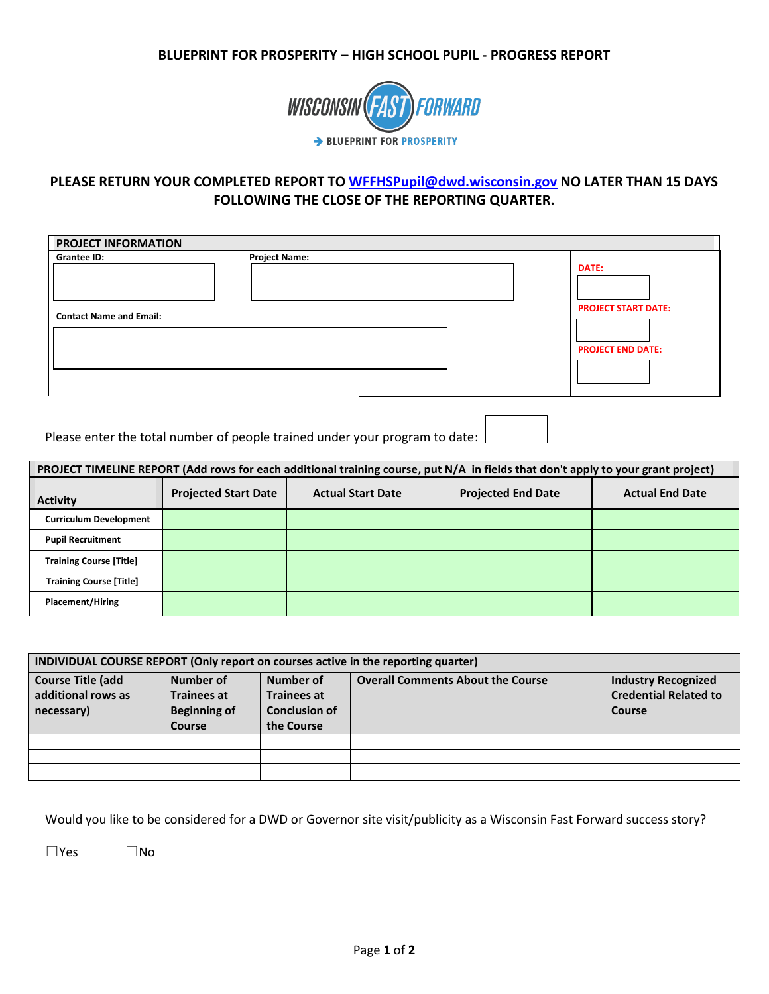## **BLUEPRINT FOR PROSPERITY – HIGH SCHOOL PUPIL - PROGRESS REPORT**



## **PLEASE RETURN YOUR COMPLETED REPORT TO [WFFHSPupil@dwd.wisconsin.gov](mailto:WFFHSPupil@dwd.wisconsin.gov) NO LATER THAN 15 DAYS FOLLOWING THE CLOSE OF THE REPORTING QUARTER.**

| <b>PROJECT INFORMATION</b>                    |                      |  |                                                                        |  |  |  |
|-----------------------------------------------|----------------------|--|------------------------------------------------------------------------|--|--|--|
| Grantee ID:<br><b>Contact Name and Email:</b> | <b>Project Name:</b> |  | <b>DATE:</b><br><b>PROJECT START DATE:</b><br><b>PROJECT END DATE:</b> |  |  |  |

Please enter the total number of people trained under your program to date:

| PROJECT TIMELINE REPORT (Add rows for each additional training course, put N/A in fields that don't apply to your grant project) |                             |                          |                           |                        |  |  |
|----------------------------------------------------------------------------------------------------------------------------------|-----------------------------|--------------------------|---------------------------|------------------------|--|--|
| <b>Activity</b>                                                                                                                  | <b>Projected Start Date</b> | <b>Actual Start Date</b> | <b>Projected End Date</b> | <b>Actual End Date</b> |  |  |
| <b>Curriculum Development</b>                                                                                                    |                             |                          |                           |                        |  |  |
| <b>Pupil Recruitment</b>                                                                                                         |                             |                          |                           |                        |  |  |
| <b>Training Course [Title]</b>                                                                                                   |                             |                          |                           |                        |  |  |
| <b>Training Course [Title]</b>                                                                                                   |                             |                          |                           |                        |  |  |
| <b>Placement/Hiring</b>                                                                                                          |                             |                          |                           |                        |  |  |

| INDIVIDUAL COURSE REPORT (Only report on courses active in the reporting quarter) |                                                                  |                                                                       |                                          |                                                                      |  |  |  |
|-----------------------------------------------------------------------------------|------------------------------------------------------------------|-----------------------------------------------------------------------|------------------------------------------|----------------------------------------------------------------------|--|--|--|
| <b>Course Title (add</b><br>additional rows as<br>necessary)                      | Number of<br><b>Trainees at</b><br><b>Beginning of</b><br>Course | Number of<br><b>Trainees at</b><br><b>Conclusion of</b><br>the Course | <b>Overall Comments About the Course</b> | <b>Industry Recognized</b><br><b>Credential Related to</b><br>Course |  |  |  |
|                                                                                   |                                                                  |                                                                       |                                          |                                                                      |  |  |  |
|                                                                                   |                                                                  |                                                                       |                                          |                                                                      |  |  |  |
|                                                                                   |                                                                  |                                                                       |                                          |                                                                      |  |  |  |

Would you like to be considered for a DWD or Governor site visit/publicity as a Wisconsin Fast Forward success story?

☐Yes ☐No